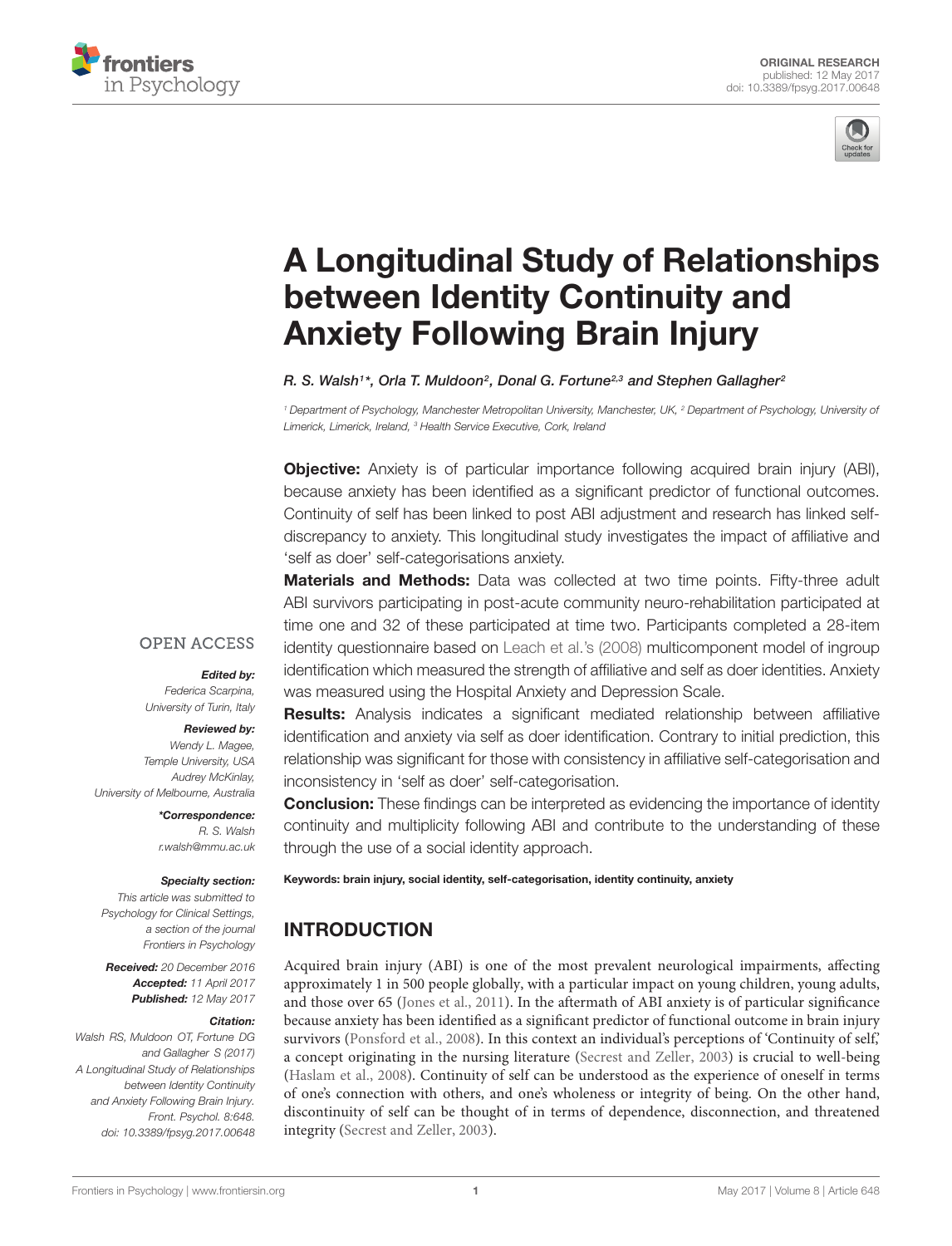



# [A Longitudinal Study of Relationships](http://journal.frontiersin.org/article/10.3389/fpsyg.2017.00648/abstract) between Identity Continuity and Anxiety Following Brain Injury

### [R. S. Walsh](http://loop.frontiersin.org/people/358001/overview)1\*, [Orla T. Muldoon](http://loop.frontiersin.org/people/195594/overview)<sup>2</sup>, [Donal G. Fortune](http://loop.frontiersin.org/people/172368/overview)<sup>2,3</sup> and Stephen Gallagher<sup>2</sup>

<sup>1</sup> Department of Psychology, Manchester Metropolitan University, Manchester, UK, <sup>2</sup> Department of Psychology, University of Limerick, Limerick, Ireland, <sup>3</sup> Health Service Executive, Cork, Ireland

**Objective:** Anxiety is of particular importance following acquired brain injury (ABI), because anxiety has been identified as a significant predictor of functional outcomes. Continuity of self has been linked to post ABI adjustment and research has linked selfdiscrepancy to anxiety. This longitudinal study investigates the impact of affiliative and 'self as doer' self-categorisations anxiety.

**Materials and Methods:** Data was collected at two time points. Fifty-three adult ABI survivors participating in post-acute community neuro-rehabilitation participated at time one and 32 of these participated at time two. Participants completed a 28-item identity questionnaire based on [Leach et al.'](#page-7-0)s [\(2008\)](#page-7-0) multicomponent model of ingroup identification which measured the strength of affiliative and self as doer identities. Anxiety was measured using the Hospital Anxiety and Depression Scale.

### **OPEN ACCESS**

### Edited by:

Federica Scarpina, University of Turin, Italy

#### Reviewed by:

Wendy L. Magee, Temple University, USA Audrey McKinlay, University of Melbourne, Australia

> \*Correspondence: R. S. Walsh r.walsh@mmu.ac.uk

### Specialty section:

This article was submitted to Psychology for Clinical Settings, a section of the journal Frontiers in Psychology

Received: 20 December 2016 Accepted: 11 April 2017 Published: 12 May 2017

#### Citation:

Walsh RS, Muldoon OT, Fortune DG and Gallagher S (2017) A Longitudinal Study of Relationships between Identity Continuity and Anxiety Following Brain Injury. Front. Psychol. 8:648. doi: [10.3389/fpsyg.2017.00648](https://doi.org/10.3389/fpsyg.2017.00648)

Results: Analysis indicates a significant mediated relationship between affiliative identification and anxiety via self as doer identification. Contrary to initial prediction, this relationship was significant for those with consistency in affiliative self-categorisation and inconsistency in 'self as doer' self-categorisation.

**Conclusion:** These findings can be interpreted as evidencing the importance of identity continuity and multiplicity following ABI and contribute to the understanding of these through the use of a social identity approach.

Keywords: brain injury, social identity, self-categorisation, identity continuity, anxiety

# INTRODUCTION

Acquired brain injury (ABI) is one of the most prevalent neurological impairments, affecting approximately 1 in 500 people globally, with a particular impact on young children, young adults, and those over 65 [\(Jones et al.,](#page-7-1) [2011\)](#page-7-1). In the aftermath of ABI anxiety is of particular significance because anxiety has been identified as a significant predictor of functional outcome in brain injury survivors [\(Ponsford et al.,](#page-7-2) [2008\)](#page-7-2). In this context an individual's perceptions of 'Continuity of self,' a concept originating in the nursing literature [\(Secrest and Zeller,](#page-7-3) [2003\)](#page-7-3) is crucial to well-being [\(Haslam et al.,](#page-7-4) [2008\)](#page-7-4). Continuity of self can be understood as the experience of oneself in terms of one's connection with others, and one's wholeness or integrity of being. On the other hand, discontinuity of self can be thought of in terms of dependence, disconnection, and threatened integrity [\(Secrest and Zeller,](#page-7-3) [2003\)](#page-7-3).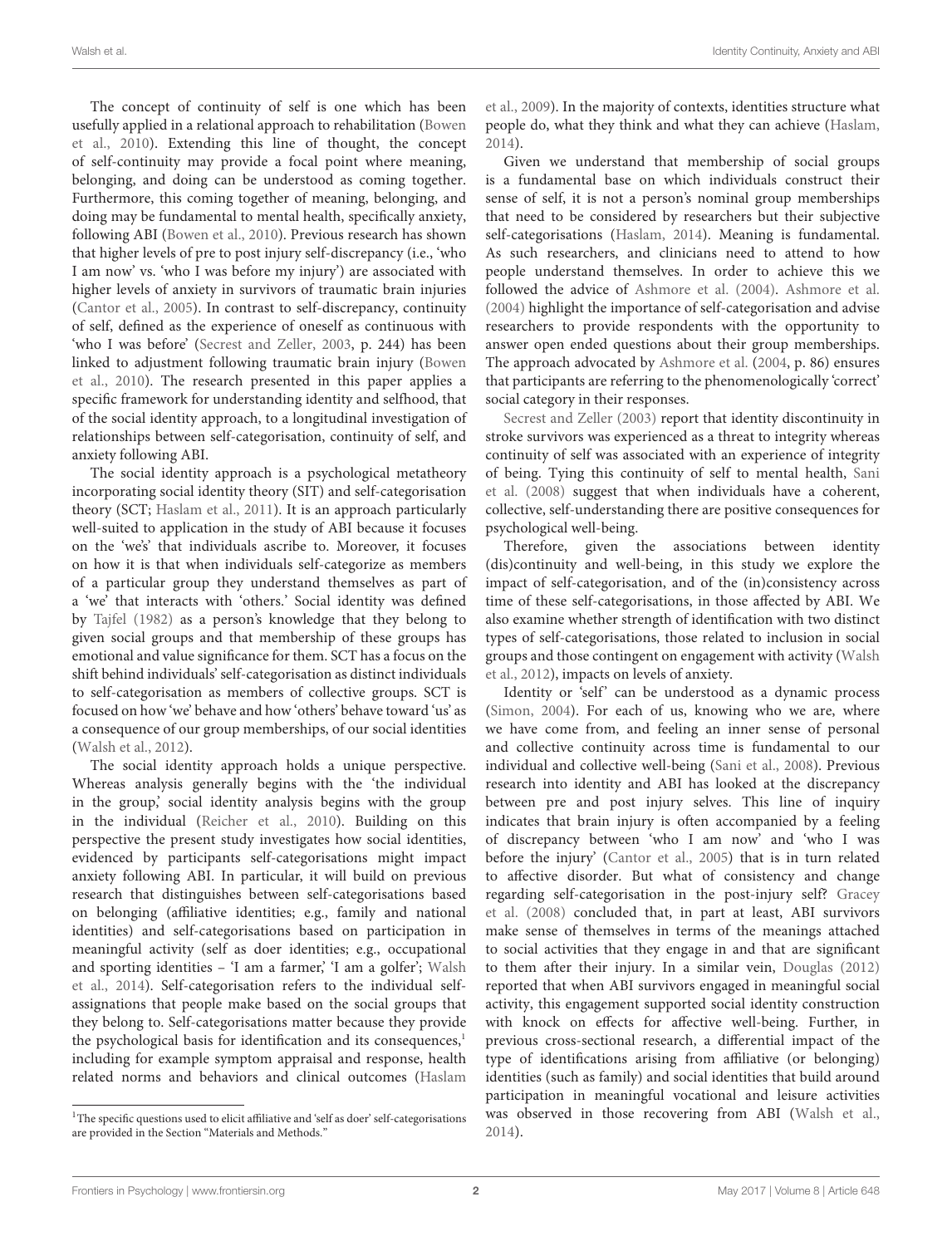The concept of continuity of self is one which has been usefully applied in a relational approach to rehabilitation [\(Bowen](#page-7-5) [et al.,](#page-7-5) [2010\)](#page-7-5). Extending this line of thought, the concept of self-continuity may provide a focal point where meaning, belonging, and doing can be understood as coming together. Furthermore, this coming together of meaning, belonging, and doing may be fundamental to mental health, specifically anxiety, following ABI [\(Bowen et al.,](#page-7-5) [2010\)](#page-7-5). Previous research has shown that higher levels of pre to post injury self-discrepancy (i.e., 'who I am now' vs. 'who I was before my injury') are associated with higher levels of anxiety in survivors of traumatic brain injuries [\(Cantor et al.,](#page-7-6) [2005\)](#page-7-6). In contrast to self-discrepancy, continuity of self, defined as the experience of oneself as continuous with 'who I was before' [\(Secrest and Zeller,](#page-7-3) [2003,](#page-7-3) p. 244) has been linked to adjustment following traumatic brain injury [\(Bowen](#page-7-5) [et al.,](#page-7-5) [2010\)](#page-7-5). The research presented in this paper applies a specific framework for understanding identity and selfhood, that of the social identity approach, to a longitudinal investigation of relationships between self-categorisation, continuity of self, and anxiety following ABI.

The social identity approach is a psychological metatheory incorporating social identity theory (SIT) and self-categorisation theory (SCT; [Haslam et al.,](#page-7-7) [2011\)](#page-7-7). It is an approach particularly well-suited to application in the study of ABI because it focuses on the 'we's' that individuals ascribe to. Moreover, it focuses on how it is that when individuals self-categorize as members of a particular group they understand themselves as part of a 'we' that interacts with 'others.' Social identity was defined by [Tajfel](#page-7-8) [\(1982\)](#page-7-8) as a person's knowledge that they belong to given social groups and that membership of these groups has emotional and value significance for them. SCT has a focus on the shift behind individuals' self-categorisation as distinct individuals to self-categorisation as members of collective groups. SCT is focused on how 'we' behave and how 'others' behave toward 'us' as a consequence of our group memberships, of our social identities [\(Walsh et al.,](#page-7-9) [2012\)](#page-7-9).

The social identity approach holds a unique perspective. Whereas analysis generally begins with the 'the individual in the group,' social identity analysis begins with the group in the individual [\(Reicher et al.,](#page-7-10) [2010\)](#page-7-10). Building on this perspective the present study investigates how social identities, evidenced by participants self-categorisations might impact anxiety following ABI. In particular, it will build on previous research that distinguishes between self-categorisations based on belonging (affiliative identities; e.g., family and national identities) and self-categorisations based on participation in meaningful activity (self as doer identities; e.g., occupational and sporting identities - 'I am a farmer,' 'I am a golfer'; [Walsh](#page-7-11) [et al.,](#page-7-11) [2014\)](#page-7-11). Self-categorisation refers to the individual selfassignations that people make based on the social groups that they belong to. Self-categorisations matter because they provide the psychological basis for identification and its consequences,<sup>[1](#page-1-0)</sup> including for example symptom appraisal and response, health related norms and behaviors and clinical outcomes [\(Haslam](#page-7-12)

[et al.,](#page-7-12) [2009\)](#page-7-12). In the majority of contexts, identities structure what people do, what they think and what they can achieve [\(Haslam,](#page-7-13) [2014\)](#page-7-13).

Given we understand that membership of social groups is a fundamental base on which individuals construct their sense of self, it is not a person's nominal group memberships that need to be considered by researchers but their subjective self-categorisations [\(Haslam,](#page-7-13) [2014\)](#page-7-13). Meaning is fundamental. As such researchers, and clinicians need to attend to how people understand themselves. In order to achieve this we followed the advice of [Ashmore et al.](#page-7-14) [\(2004\)](#page-7-14). [Ashmore et al.](#page-7-14) [\(2004\)](#page-7-14) highlight the importance of self-categorisation and advise researchers to provide respondents with the opportunity to answer open ended questions about their group memberships. The approach advocated by [Ashmore et al.](#page-7-14) [\(2004,](#page-7-14) p. 86) ensures that participants are referring to the phenomenologically 'correct' social category in their responses.

[Secrest and Zeller](#page-7-3) [\(2003\)](#page-7-3) report that identity discontinuity in stroke survivors was experienced as a threat to integrity whereas continuity of self was associated with an experience of integrity of being. Tying this continuity of self to mental health, [Sani](#page-7-15) [et al.](#page-7-15) [\(2008\)](#page-7-15) suggest that when individuals have a coherent, collective, self-understanding there are positive consequences for psychological well-being.

Therefore, given the associations between identity (dis)continuity and well-being, in this study we explore the impact of self-categorisation, and of the (in)consistency across time of these self-categorisations, in those affected by ABI. We also examine whether strength of identification with two distinct types of self-categorisations, those related to inclusion in social groups and those contingent on engagement with activity [\(Walsh](#page-7-9) [et al.,](#page-7-9) [2012\)](#page-7-9), impacts on levels of anxiety.

Identity or 'self' can be understood as a dynamic process [\(Simon,](#page-7-16) [2004\)](#page-7-16). For each of us, knowing who we are, where we have come from, and feeling an inner sense of personal and collective continuity across time is fundamental to our individual and collective well-being [\(Sani et al.,](#page-7-15) [2008\)](#page-7-15). Previous research into identity and ABI has looked at the discrepancy between pre and post injury selves. This line of inquiry indicates that brain injury is often accompanied by a feeling of discrepancy between 'who I am now' and 'who I was before the injury' [\(Cantor et al.,](#page-7-6) [2005\)](#page-7-6) that is in turn related to affective disorder. But what of consistency and change regarding self-categorisation in the post-injury self? [Gracey](#page-7-17) [et al.](#page-7-17) [\(2008\)](#page-7-17) concluded that, in part at least, ABI survivors make sense of themselves in terms of the meanings attached to social activities that they engage in and that are significant to them after their injury. In a similar vein, [Douglas](#page-7-18) [\(2012\)](#page-7-18) reported that when ABI survivors engaged in meaningful social activity, this engagement supported social identity construction with knock on effects for affective well-being. Further, in previous cross-sectional research, a differential impact of the type of identifications arising from affiliative (or belonging) identities (such as family) and social identities that build around participation in meaningful vocational and leisure activities was observed in those recovering from ABI [\(Walsh et al.,](#page-7-11) [2014\)](#page-7-11).

<span id="page-1-0"></span><sup>&</sup>lt;sup>1</sup>[The specific questions used to elicit affiliative and 'self as doer' self-categorisations](#page-7-12) [are provided in the Section "Materials and Methods."](#page-7-12)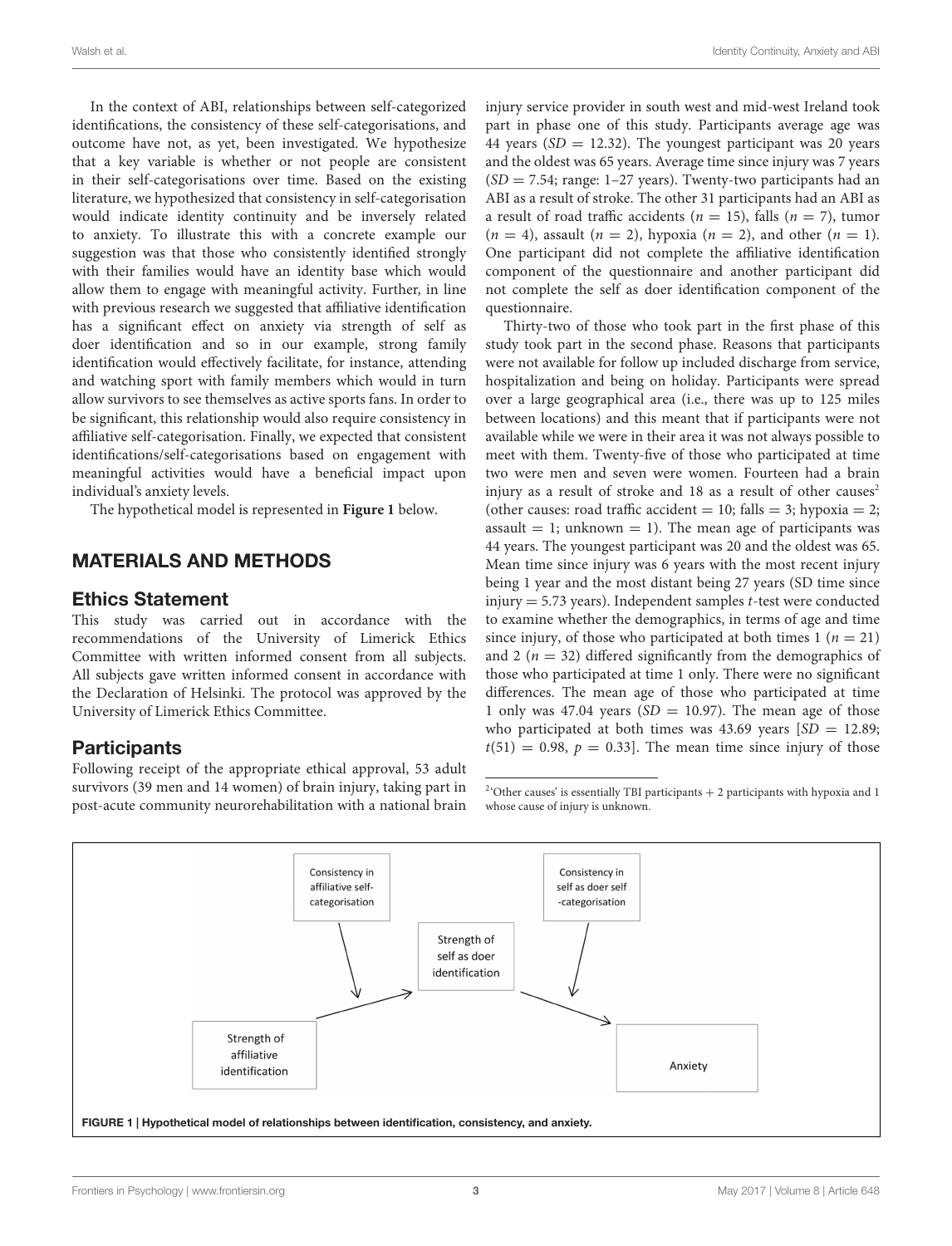In the context of ABI, relationships between self-categorized identifications, the consistency of these self-categorisations, and outcome have not, as yet, been investigated. We hypothesize that a key variable is whether or not people are consistent in their self-categorisations over time. Based on the existing literature, we hypothesized that consistency in self-categorisation would indicate identity continuity and be inversely related to anxiety. To illustrate this with a concrete example our suggestion was that those who consistently identified strongly with their families would have an identity base which would allow them to engage with meaningful activity. Further, in line with previous research we suggested that affiliative identification has a significant effect on anxiety via strength of self as doer identification and so in our example, strong family identification would effectively facilitate, for instance, attending and watching sport with family members which would in turn allow survivors to see themselves as active sports fans. In order to be significant, this relationship would also require consistency in affiliative self-categorisation. Finally, we expected that consistent identifications/self-categorisations based on engagement with meaningful activities would have a beneficial impact upon individual's anxiety levels.

The hypothetical model is represented in **[Figure 1](#page-2-0)** below.

# MATERIALS AND METHODS

### Ethics Statement

This study was carried out in accordance with the recommendations of the University of Limerick Ethics Committee with written informed consent from all subjects. All subjects gave written informed consent in accordance with the Declaration of Helsinki. The protocol was approved by the University of Limerick Ethics Committee.

### **Participants**

Following receipt of the appropriate ethical approval, 53 adult survivors (39 men and 14 women) of brain injury, taking part in post-acute community neurorehabilitation with a national brain injury service provider in south west and mid-west Ireland took part in phase one of this study. Participants average age was 44 years ( $SD = 12.32$ ). The youngest participant was 20 years and the oldest was 65 years. Average time since injury was 7 years  $(SD = 7.54; \text{range: } 1-27 \text{ years})$ . Twenty-two participants had an ABI as a result of stroke. The other 31 participants had an ABI as a result of road traffic accidents ( $n = 15$ ), falls ( $n = 7$ ), tumor  $(n = 4)$ , assault  $(n = 2)$ , hypoxia  $(n = 2)$ , and other  $(n = 1)$ . One participant did not complete the affiliative identification component of the questionnaire and another participant did not complete the self as doer identification component of the questionnaire.

Thirty-two of those who took part in the first phase of this study took part in the second phase. Reasons that participants were not available for follow up included discharge from service, hospitalization and being on holiday. Participants were spread over a large geographical area (i.e., there was up to 125 miles between locations) and this meant that if participants were not available while we were in their area it was not always possible to meet with them. Twenty-five of those who participated at time two were men and seven were women. Fourteen had a brain injury as a result of stroke and 18 as a result of other causes<sup>[2](#page-2-1)</sup> (other causes: road traffic accident = 10; falls = 3; hypoxia = 2; assault  $= 1$ ; unknown  $= 1$ ). The mean age of participants was 44 years. The youngest participant was 20 and the oldest was 65. Mean time since injury was 6 years with the most recent injury being 1 year and the most distant being 27 years (SD time since injury  $= 5.73$  years). Independent samples *t*-test were conducted to examine whether the demographics, in terms of age and time since injury, of those who participated at both times  $1 (n = 21)$ and 2 ( $n = 32$ ) differed significantly from the demographics of those who participated at time 1 only. There were no significant differences. The mean age of those who participated at time 1 only was 47.04 years ( $SD = 10.97$ ). The mean age of those who participated at both times was 43.69 years  $SD = 12.89$ ;  $t(51) = 0.98$ ,  $p = 0.33$ . The mean time since injury of those

<span id="page-2-1"></span> $2$ <sup>2</sup> Other causes' is essentially TBI participants + 2 participants with hypoxia and 1 whose cause of injury is unknown.

<span id="page-2-0"></span>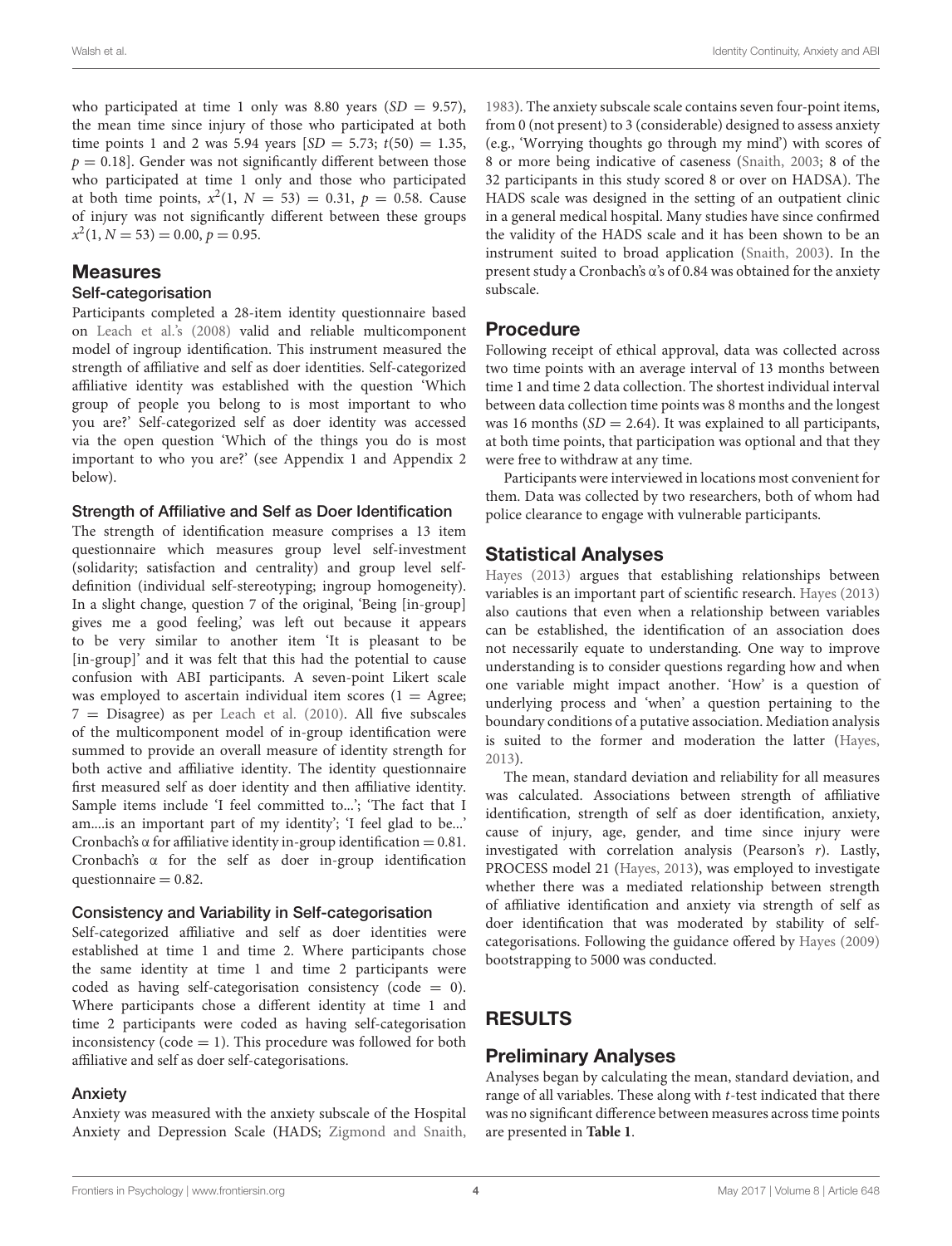who participated at time 1 only was 8.80 years  $(SD = 9.57)$ , the mean time since injury of those who participated at both time points 1 and 2 was 5.94 years  $SD = 5.73$ ;  $t(50) = 1.35$ ,  $p = 0.18$ . Gender was not significantly different between those who participated at time 1 only and those who participated at both time points,  $x^2(1, N = 53) = 0.31, p = 0.58$ . Cause of injury was not significantly different between these groups  $x^2(1, N = 53) = 0.00, p = 0.95.$ 

### Measures

#### Self-categorisation

Participants completed a 28-item identity questionnaire based on [Leach et al.'s](#page-7-0) [\(2008\)](#page-7-0) valid and reliable multicomponent model of ingroup identification. This instrument measured the strength of affiliative and self as doer identities. Self-categorized affiliative identity was established with the question 'Which group of people you belong to is most important to who you are?' Self-categorized self as doer identity was accessed via the open question 'Which of the things you do is most important to who you are?' (see Appendix 1 and Appendix 2 below).

#### Strength of Affiliative and Self as Doer Identification

The strength of identification measure comprises a 13 item questionnaire which measures group level self-investment (solidarity; satisfaction and centrality) and group level selfdefinition (individual self-stereotyping; ingroup homogeneity). In a slight change, question 7 of the original, 'Being [in-group] gives me a good feeling,' was left out because it appears to be very similar to another item 'It is pleasant to be [in-group]' and it was felt that this had the potential to cause confusion with ABI participants. A seven-point Likert scale was employed to ascertain individual item scores ( $1 = \text{Agree}$ ;  $7 =$  Disagree) as per [Leach et al.](#page-7-19) [\(2010\)](#page-7-19). All five subscales of the multicomponent model of in-group identification were summed to provide an overall measure of identity strength for both active and affiliative identity. The identity questionnaire first measured self as doer identity and then affiliative identity. Sample items include 'I feel committed to...'; 'The fact that I am....is an important part of my identity'; 'I feel glad to be...' Cronbach's  $\alpha$  for affiliative identity in-group identification = 0.81. Cronbach's α for the self as doer in-group identification questionnaire  $= 0.82$ .

#### Consistency and Variability in Self-categorisation

Self-categorized affiliative and self as doer identities were established at time 1 and time 2. Where participants chose the same identity at time 1 and time 2 participants were coded as having self-categorisation consistency (code  $= 0$ ). Where participants chose a different identity at time 1 and time 2 participants were coded as having self-categorisation inconsistency (code  $= 1$ ). This procedure was followed for both affiliative and self as doer self-categorisations.

#### Anxiety

Anxiety was measured with the anxiety subscale of the Hospital Anxiety and Depression Scale (HADS; [Zigmond and Snaith,](#page-8-0) [1983\)](#page-8-0). The anxiety subscale scale contains seven four-point items, from 0 (not present) to 3 (considerable) designed to assess anxiety (e.g., 'Worrying thoughts go through my mind') with scores of 8 or more being indicative of caseness [\(Snaith,](#page-7-20) [2003;](#page-7-20) 8 of the 32 participants in this study scored 8 or over on HADSA). The HADS scale was designed in the setting of an outpatient clinic in a general medical hospital. Many studies have since confirmed the validity of the HADS scale and it has been shown to be an instrument suited to broad application [\(Snaith,](#page-7-20) [2003\)](#page-7-20). In the present study a Cronbach's α's of 0.84 was obtained for the anxiety subscale.

### **Procedure**

Following receipt of ethical approval, data was collected across two time points with an average interval of 13 months between time 1 and time 2 data collection. The shortest individual interval between data collection time points was 8 months and the longest was 16 months  $(SD = 2.64)$ . It was explained to all participants, at both time points, that participation was optional and that they were free to withdraw at any time.

Participants were interviewed in locations most convenient for them. Data was collected by two researchers, both of whom had police clearance to engage with vulnerable participants.

### Statistical Analyses

[Hayes](#page-7-21) [\(2013\)](#page-7-21) argues that establishing relationships between variables is an important part of scientific research. [Hayes](#page-7-21) [\(2013\)](#page-7-21) also cautions that even when a relationship between variables can be established, the identification of an association does not necessarily equate to understanding. One way to improve understanding is to consider questions regarding how and when one variable might impact another. 'How' is a question of underlying process and 'when' a question pertaining to the boundary conditions of a putative association. Mediation analysis is suited to the former and moderation the latter [\(Hayes,](#page-7-21) [2013\)](#page-7-21).

The mean, standard deviation and reliability for all measures was calculated. Associations between strength of affiliative identification, strength of self as doer identification, anxiety, cause of injury, age, gender, and time since injury were investigated with correlation analysis (Pearson's r). Lastly, PROCESS model 21 [\(Hayes,](#page-7-21) [2013\)](#page-7-21), was employed to investigate whether there was a mediated relationship between strength of affiliative identification and anxiety via strength of self as doer identification that was moderated by stability of selfcategorisations. Following the guidance offered by [Hayes](#page-7-22) [\(2009\)](#page-7-22) bootstrapping to 5000 was conducted.

# RESULTS

### Preliminary Analyses

Analyses began by calculating the mean, standard deviation, and range of all variables. These along with  $t$ -test indicated that there was no significant difference between measures across time points are presented in **[Table 1](#page-4-0)**.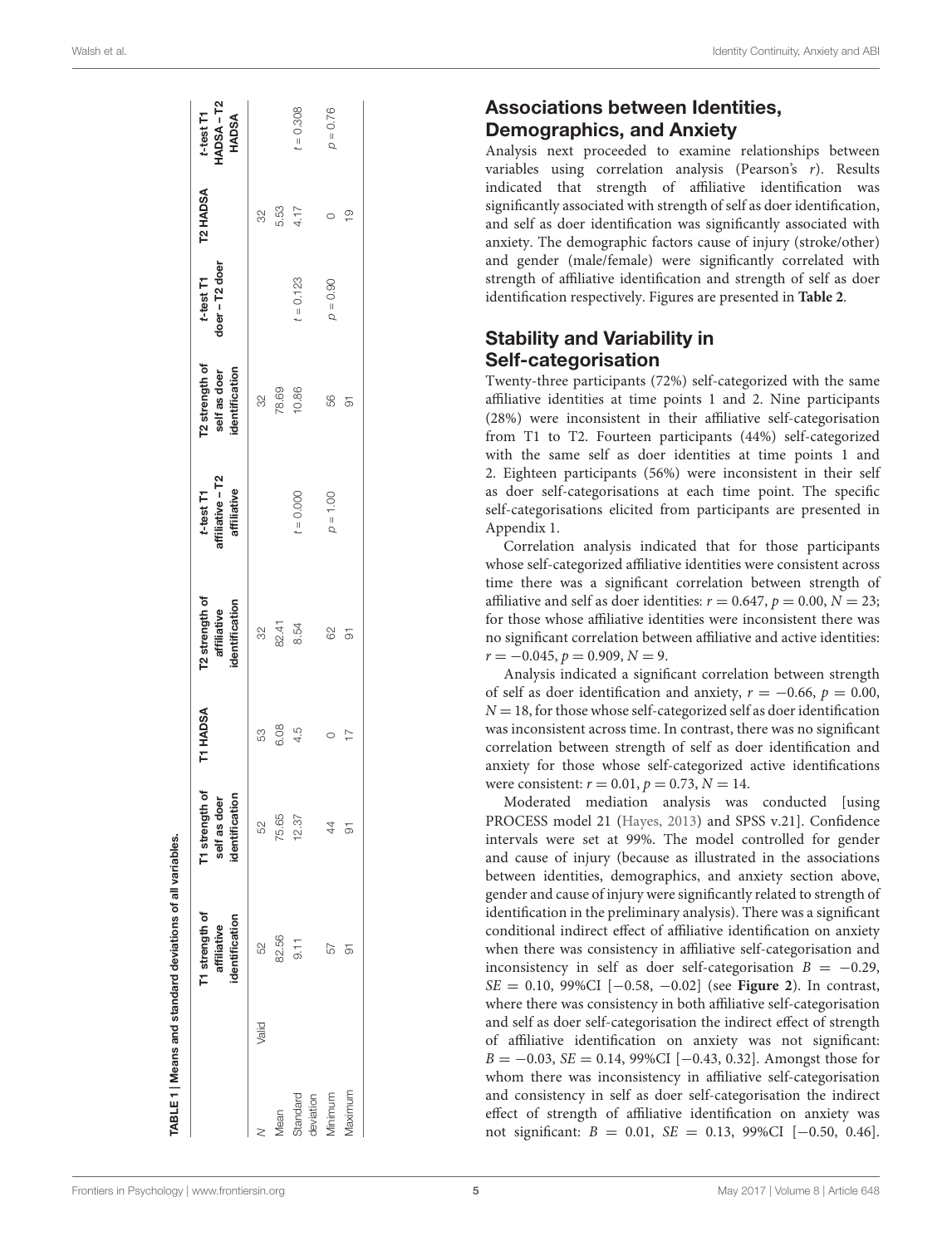|                       |       | T1 strength of<br>identification<br>affiliative | T1 strength of<br>self as doer<br>identificatio | T1 HADSA       | T2 strength of<br>identification<br>affiliative | t-test T1<br>affiliative – T2<br>affiliative | T2 strength of<br>self as doer<br>identification | t-test T1<br>$d$ oer – T2 doer | T2 HADSA           | t-test T1<br>HADSA – T2<br>HADSA |
|-----------------------|-------|-------------------------------------------------|-------------------------------------------------|----------------|-------------------------------------------------|----------------------------------------------|--------------------------------------------------|--------------------------------|--------------------|----------------------------------|
|                       | Valid | S                                               | 52                                              | 53             |                                                 |                                              |                                                  |                                |                    |                                  |
| <b><i>Mean</i></b>    |       | 82.56                                           | 75.65                                           | 6.08           | 32<br>82.41                                     |                                              | $\frac{32}{78.69}$                               |                                | 82<br>5.53<br>4.17 |                                  |
| Standard<br>deviation |       | $\frac{1}{9}$                                   | 12.37                                           | 4.5            | 8.54                                            | $t = 0.000$                                  | 10.86                                            | $t = 0.123$                    |                    | $t = 0.308$                      |
| Viinimum              |       | 57                                              | 44                                              |                | 62                                              | $p = 1.00$                                   | 56                                               | $p = 0.90$                     | $\circ$            | $p = 0.76$                       |
| Maximum               |       |                                                 | 5                                               | $\overline{1}$ | 5                                               |                                              | 5                                                |                                | $\frac{0}{1}$      |                                  |

# Associations between Identities, Demographics, and Anxiety

Analysis next proceeded to examine relationships between variables using correlation analysis (Pearson's r). Results indicated that strength of affiliative identification was significantly associated with strength of self as doer identification, and self as doer identification was significantly associated with anxiety. The demographic factors cause of injury (stroke/other) and gender (male/female) were significantly correlated with strength of affiliative identification and strength of self as doer identification respectively. Figures are presented in **[Table 2](#page-5-0)** .

# Stability and Variability in Self-categorisation

Twenty-three participants (72%) self-categorized with the same affiliative identities at time points 1 and 2. Nine participants (28%) were inconsistent in their affiliative self-categorisation from T1 to T2. Fourteen participants (44%) self-categorized with the same self as doer identities at time points 1 and 2. Eighteen participants (56%) were inconsistent in their self as doer self-categorisations at each time point. The specific self-categorisations elicited from participants are presented in Appendix 1.

Correlation analysis indicated that for those participants whose self-categorized affiliative identities were consistent across time there was a significant correlation between strength of affiliative and self as doer identities:  $r = 0.647$ ,  $p = 0.00$ ,  $N = 23$ ; for those whose affiliative identities were inconsistent there was no significant correlation between affiliative and active identities:  $r = -0.045, p = 0.909, N = 9.$ 

Analysis indicated a significant correlation between strength of self as doer identification and anxiety,  $r = -0.66$ ,  $p = 0.00$ ,  $N = 18$ , for those whose self-categorized self as doer identification was inconsistent across time. In contrast, there was no significant correlation between strength of self as doer identification and anxiety for those whose self-categorized active identifications were consistent:  $r = 0.01$ ,  $p = 0.73$ ,  $N = 14$ .

<span id="page-4-0"></span>Moderated mediation analysis was conducted [using PROCESS model 21 [\(Hayes](#page-7-21) , [2013\)](#page-7-21) and SPSS v.21]. Confidence intervals were set at 99%. The model controlled for gender and cause of injury (because as illustrated in the associations between identities, demographics, and anxiety section above, gender and cause of injury were significantly related to strength of identification in the preliminary analysis). There was a significant conditional indirect effect of affiliative identification on anxiety when there was consistency in affiliative self-categorisation and inconsistency in self as doer self-categorisation  $B = -0.29$ ,  $SE = 0.10$ , 99%CI  $[-0.58, -0.02]$  (see **[Figure 2](#page-5-1)**). In contrast, where there was consistency in both affiliative self-categorisation and self as doer self-categorisation the indirect effect of strength of affiliative identification on anxiety was not significant:  $B = -0.03$ ,  $SE = 0.14$ , 99%CI [-0.43, 0.32]. Amongst those for whom there was inconsistency in affiliative self-categorisation and consistency in self as doer self-categorisation the indirect effect of strength of affiliative identification on anxiety was not significant: *B* = 0.01, *SE* = 0.13, 99%CI [-0.50, 0.46].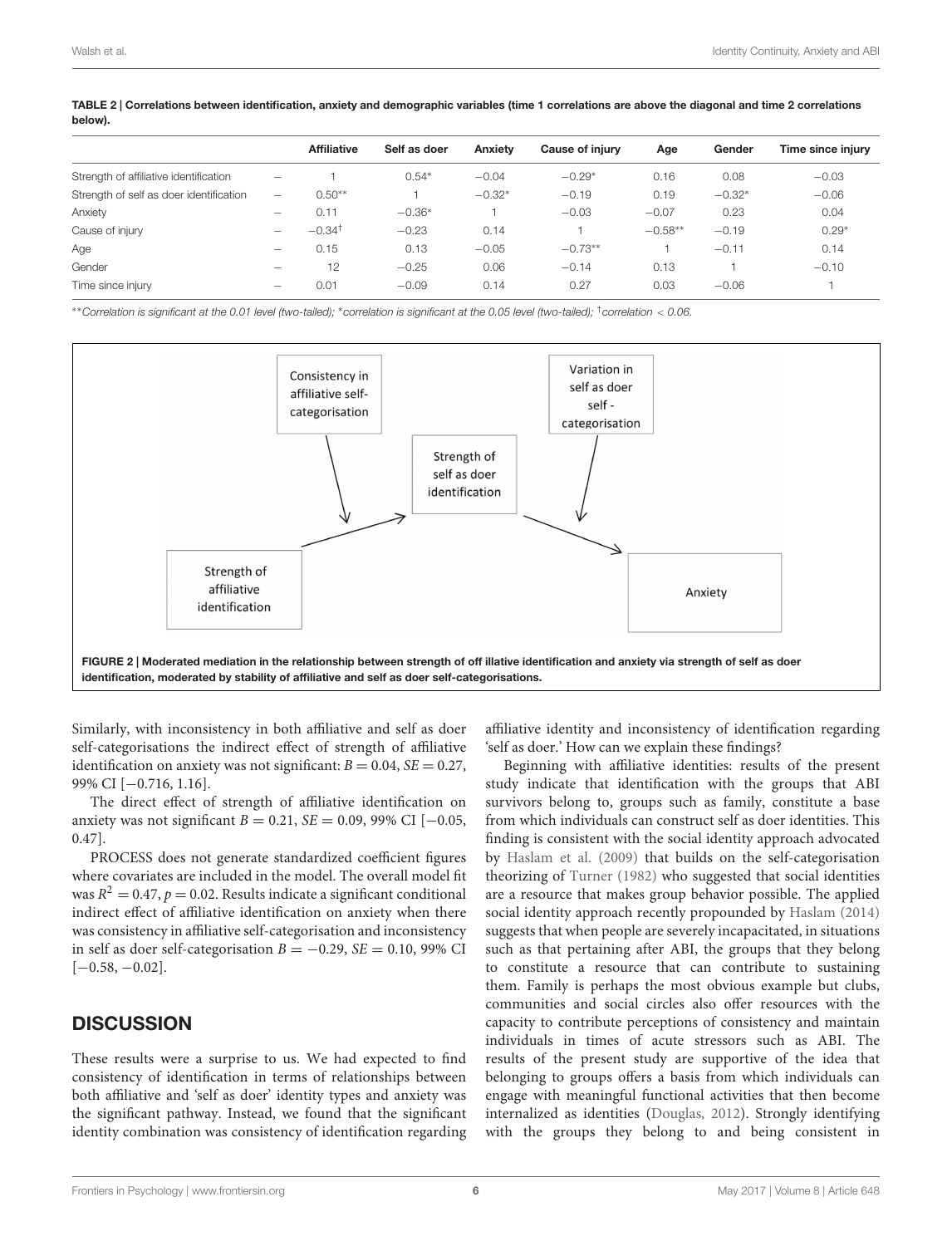|                                         |                          | <b>Affiliative</b>   | Self as doer | Anxiety  | Cause of iniury | Age       | Gender   | Time since injury |
|-----------------------------------------|--------------------------|----------------------|--------------|----------|-----------------|-----------|----------|-------------------|
| Strength of affiliative identification  | $\overline{\phantom{m}}$ |                      | $0.54*$      | $-0.04$  | $-0.29*$        | 0.16      | 0.08     | $-0.03$           |
| Strength of self as doer identification | $\overline{\phantom{m}}$ | $0.50**$             |              | $-0.32*$ | $-0.19$         | 0.19      | $-0.32*$ | $-0.06$           |
| Anxiety                                 | $\qquad \qquad$          | 0.11                 | $-0.36*$     |          | $-0.03$         | $-0.07$   | 0.23     | 0.04              |
| Cause of injury                         |                          | $-0.34$ <sup>†</sup> | $-0.23$      | 0.14     |                 | $-0.58**$ | $-0.19$  | $0.29*$           |
| Age                                     | $\overline{\phantom{m}}$ | 0.15                 | 0.13         | $-0.05$  | $-0.73**$       |           | $-0.11$  | 0.14              |
| Gender                                  |                          | 12                   | $-0.25$      | 0.06     | $-0.14$         | 0.13      |          | $-0.10$           |
| Time since injury                       | -                        | 0.01                 | $-0.09$      | 0.14     | 0.27            | 0.03      | $-0.06$  |                   |
|                                         |                          |                      |              |          |                 |           |          |                   |

<span id="page-5-0"></span>TABLE 2 | Correlations between identification, anxiety and demographic variables (time 1 correlations are above the diagonal and time 2 correlations below).

∗∗Correlation is significant at the 0.01 level (two-tailed); <sup>∗</sup>correlation is significant at the 0.05 level (two-tailed); †correlation < 0.06.



<span id="page-5-1"></span>Similarly, with inconsistency in both affiliative and self as doer self-categorisations the indirect effect of strength of affiliative identification on anxiety was not significant:  $B = 0.04$ ,  $SE = 0.27$ , 99% CI [−0.716, 1.16].

The direct effect of strength of affiliative identification on anxiety was not significant  $B = 0.21$ ,  $SE = 0.09$ , 99% CI [−0.05, 0.47].

PROCESS does not generate standardized coefficient figures where covariates are included in the model. The overall model fit was  $R^2 = 0.47$ ,  $p = 0.02$ . Results indicate a significant conditional indirect effect of affiliative identification on anxiety when there was consistency in affiliative self-categorisation and inconsistency in self as doer self-categorisation  $B = -0.29$ ,  $SE = 0.10$ , 99% CI  $[-0.58, -0.02]$ .

# **DISCUSSION**

These results were a surprise to us. We had expected to find consistency of identification in terms of relationships between both affiliative and 'self as doer' identity types and anxiety was the significant pathway. Instead, we found that the significant identity combination was consistency of identification regarding affiliative identity and inconsistency of identification regarding 'self as doer.' How can we explain these findings?

Beginning with affiliative identities: results of the present study indicate that identification with the groups that ABI survivors belong to, groups such as family, constitute a base from which individuals can construct self as doer identities. This finding is consistent with the social identity approach advocated by [Haslam et al.](#page-7-12) [\(2009\)](#page-7-12) that builds on the self-categorisation theorizing of [Turner](#page-7-23) [\(1982\)](#page-7-23) who suggested that social identities are a resource that makes group behavior possible. The applied social identity approach recently propounded by [Haslam](#page-7-13) [\(2014\)](#page-7-13) suggests that when people are severely incapacitated, in situations such as that pertaining after ABI, the groups that they belong to constitute a resource that can contribute to sustaining them. Family is perhaps the most obvious example but clubs, communities and social circles also offer resources with the capacity to contribute perceptions of consistency and maintain individuals in times of acute stressors such as ABI. The results of the present study are supportive of the idea that belonging to groups offers a basis from which individuals can engage with meaningful functional activities that then become internalized as identities [\(Douglas,](#page-7-18) [2012\)](#page-7-18). Strongly identifying with the groups they belong to and being consistent in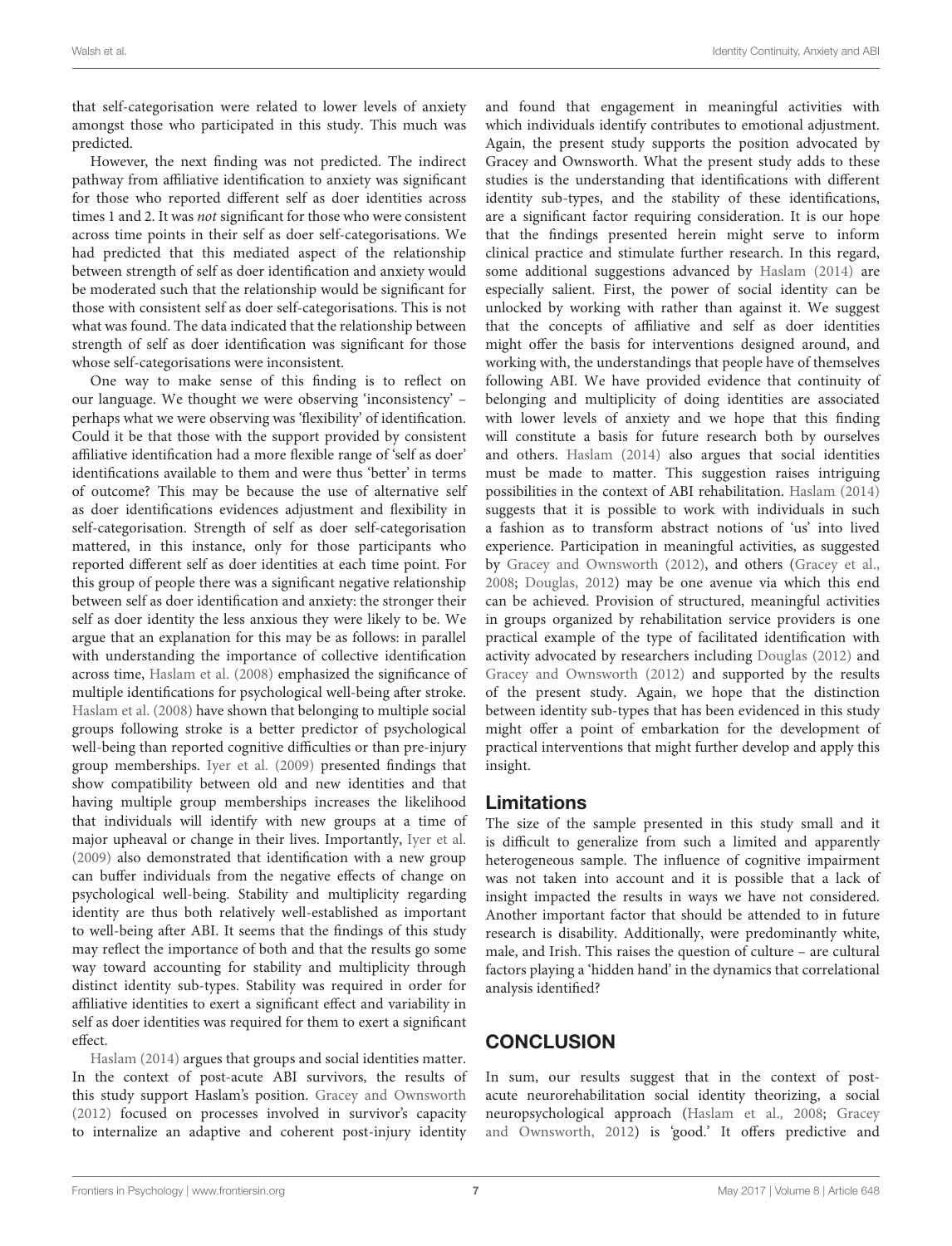that self-categorisation were related to lower levels of anxiety amongst those who participated in this study. This much was predicted.

However, the next finding was not predicted. The indirect pathway from affiliative identification to anxiety was significant for those who reported different self as doer identities across times 1 and 2. It was not significant for those who were consistent across time points in their self as doer self-categorisations. We had predicted that this mediated aspect of the relationship between strength of self as doer identification and anxiety would be moderated such that the relationship would be significant for those with consistent self as doer self-categorisations. This is not what was found. The data indicated that the relationship between strength of self as doer identification was significant for those whose self-categorisations were inconsistent.

One way to make sense of this finding is to reflect on our language. We thought we were observing 'inconsistency' – perhaps what we were observing was 'flexibility' of identification. Could it be that those with the support provided by consistent affiliative identification had a more flexible range of 'self as doer' identifications available to them and were thus 'better' in terms of outcome? This may be because the use of alternative self as doer identifications evidences adjustment and flexibility in self-categorisation. Strength of self as doer self-categorisation mattered, in this instance, only for those participants who reported different self as doer identities at each time point. For this group of people there was a significant negative relationship between self as doer identification and anxiety: the stronger their self as doer identity the less anxious they were likely to be. We argue that an explanation for this may be as follows: in parallel with understanding the importance of collective identification across time, [Haslam et al.](#page-7-4) [\(2008\)](#page-7-4) emphasized the significance of multiple identifications for psychological well-being after stroke. [Haslam et al.](#page-7-4) [\(2008\)](#page-7-4) have shown that belonging to multiple social groups following stroke is a better predictor of psychological well-being than reported cognitive difficulties or than pre-injury group memberships. [Iyer et al.](#page-7-24) [\(2009\)](#page-7-24) presented findings that show compatibility between old and new identities and that having multiple group memberships increases the likelihood that individuals will identify with new groups at a time of major upheaval or change in their lives. Importantly, [Iyer et al.](#page-7-24) [\(2009\)](#page-7-24) also demonstrated that identification with a new group can buffer individuals from the negative effects of change on psychological well-being. Stability and multiplicity regarding identity are thus both relatively well-established as important to well-being after ABI. It seems that the findings of this study may reflect the importance of both and that the results go some way toward accounting for stability and multiplicity through distinct identity sub-types. Stability was required in order for affiliative identities to exert a significant effect and variability in self as doer identities was required for them to exert a significant effect.

[Haslam](#page-7-13) [\(2014\)](#page-7-13) argues that groups and social identities matter. In the context of post-acute ABI survivors, the results of this study support Haslam's position. [Gracey and Ownsworth](#page-7-25) [\(2012\)](#page-7-25) focused on processes involved in survivor's capacity to internalize an adaptive and coherent post-injury identity

and found that engagement in meaningful activities with which individuals identify contributes to emotional adjustment. Again, the present study supports the position advocated by Gracey and Ownsworth. What the present study adds to these studies is the understanding that identifications with different identity sub-types, and the stability of these identifications, are a significant factor requiring consideration. It is our hope that the findings presented herein might serve to inform clinical practice and stimulate further research. In this regard, some additional suggestions advanced by [Haslam](#page-7-13) [\(2014\)](#page-7-13) are especially salient. First, the power of social identity can be unlocked by working with rather than against it. We suggest that the concepts of affiliative and self as doer identities might offer the basis for interventions designed around, and working with, the understandings that people have of themselves following ABI. We have provided evidence that continuity of belonging and multiplicity of doing identities are associated with lower levels of anxiety and we hope that this finding will constitute a basis for future research both by ourselves and others. [Haslam](#page-7-13) [\(2014\)](#page-7-13) also argues that social identities must be made to matter. This suggestion raises intriguing possibilities in the context of ABI rehabilitation. [Haslam](#page-7-13) [\(2014\)](#page-7-13) suggests that it is possible to work with individuals in such a fashion as to transform abstract notions of 'us' into lived experience. Participation in meaningful activities, as suggested by [Gracey and Ownsworth](#page-7-25) [\(2012\)](#page-7-25), and others [\(Gracey et al.,](#page-7-17) [2008;](#page-7-17) [Douglas,](#page-7-18) [2012\)](#page-7-18) may be one avenue via which this end can be achieved. Provision of structured, meaningful activities in groups organized by rehabilitation service providers is one practical example of the type of facilitated identification with activity advocated by researchers including [Douglas](#page-7-18) [\(2012\)](#page-7-18) and [Gracey and Ownsworth](#page-7-25) [\(2012\)](#page-7-25) and supported by the results of the present study. Again, we hope that the distinction between identity sub-types that has been evidenced in this study might offer a point of embarkation for the development of practical interventions that might further develop and apply this insight.

# Limitations

The size of the sample presented in this study small and it is difficult to generalize from such a limited and apparently heterogeneous sample. The influence of cognitive impairment was not taken into account and it is possible that a lack of insight impacted the results in ways we have not considered. Another important factor that should be attended to in future research is disability. Additionally, were predominantly white, male, and Irish. This raises the question of culture – are cultural factors playing a 'hidden hand' in the dynamics that correlational analysis identified?

# **CONCLUSION**

In sum, our results suggest that in the context of postacute neurorehabilitation social identity theorizing, a social neuropsychological approach [\(Haslam et al.,](#page-7-4) [2008;](#page-7-4) [Gracey](#page-7-25) [and Ownsworth,](#page-7-25) [2012\)](#page-7-25) is 'good.' It offers predictive and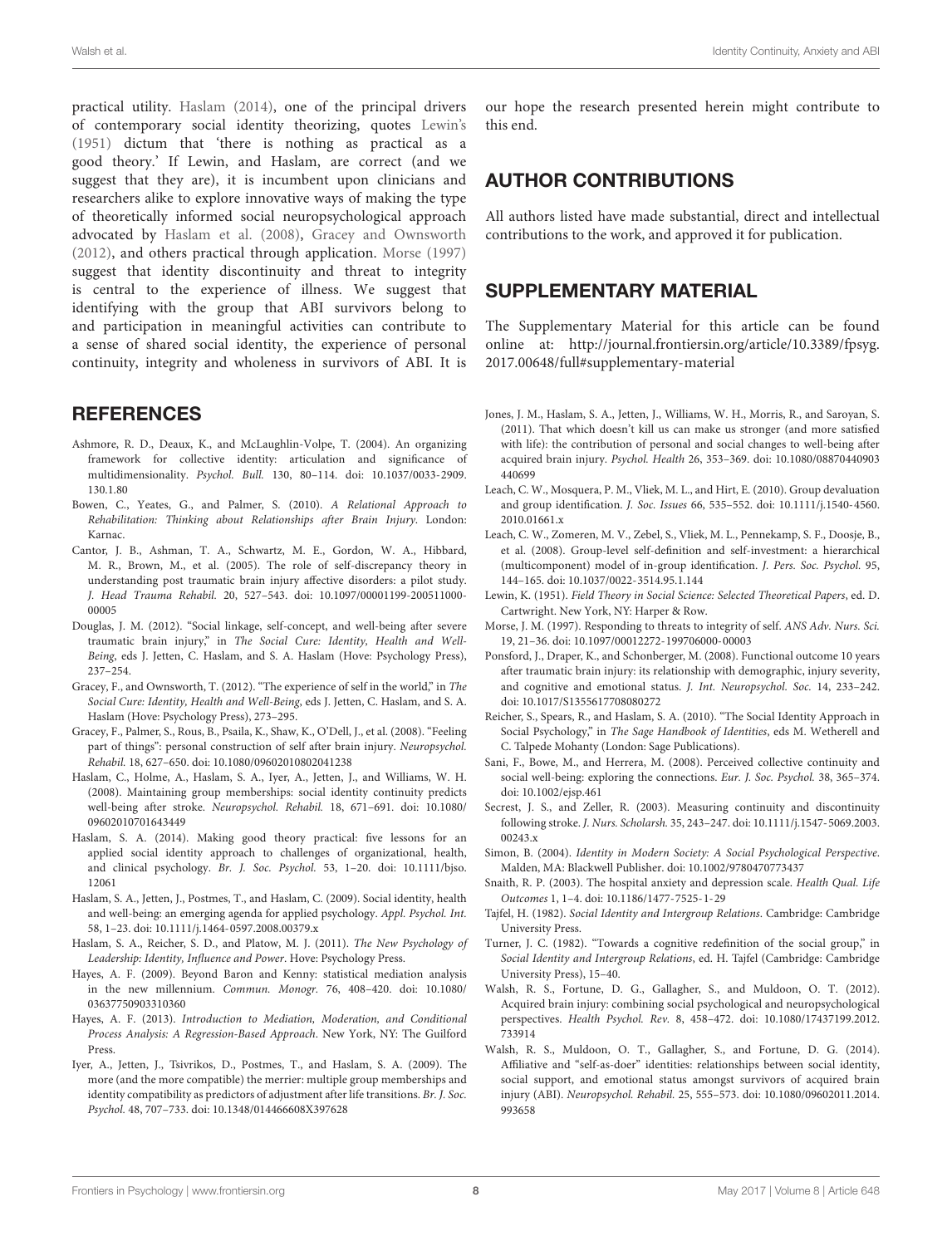practical utility. [Haslam](#page-7-13) [\(2014\)](#page-7-13), one of the principal drivers of contemporary social identity theorizing, quotes [Lewin'](#page-7-26)s [\(1951\)](#page-7-26) dictum that 'there is nothing as practical as a good theory.' If Lewin, and Haslam, are correct (and we suggest that they are), it is incumbent upon clinicians and researchers alike to explore innovative ways of making the type of theoretically informed social neuropsychological approach advocated by [Haslam et al.](#page-7-4) [\(2008\)](#page-7-4), [Gracey and Ownsworth](#page-7-25) [\(2012\)](#page-7-25), and others practical through application. [Morse](#page-7-27) [\(1997\)](#page-7-27) suggest that identity discontinuity and threat to integrity is central to the experience of illness. We suggest that identifying with the group that ABI survivors belong to and participation in meaningful activities can contribute to a sense of shared social identity, the experience of personal continuity, integrity and wholeness in survivors of ABI. It is

# **REFERENCES**

- <span id="page-7-14"></span>Ashmore, R. D., Deaux, K., and McLaughlin-Volpe, T. (2004). An organizing framework for collective identity: articulation and significance of multidimensionality. Psychol. Bull. 130, 80–114. [doi: 10.1037/0033-2909.](https://doi.org/10.1037/0033-2909.130.1.80) [130.1.80](https://doi.org/10.1037/0033-2909.130.1.80)
- <span id="page-7-5"></span>Bowen, C., Yeates, G., and Palmer, S. (2010). A Relational Approach to Rehabilitation: Thinking about Relationships after Brain Injury. London: Karnac.
- <span id="page-7-6"></span>Cantor, J. B., Ashman, T. A., Schwartz, M. E., Gordon, W. A., Hibbard, M. R., Brown, M., et al. (2005). The role of self-discrepancy theory in understanding post traumatic brain injury affective disorders: a pilot study. J. Head Trauma Rehabil. 20, 527–543. [doi: 10.1097/00001199-200511000-](https://doi.org/10.1097/00001199-200511000-00005) [00005](https://doi.org/10.1097/00001199-200511000-00005)
- <span id="page-7-18"></span>Douglas, J. M. (2012). "Social linkage, self-concept, and well-being after severe traumatic brain injury," in The Social Cure: Identity, Health and Well-Being, eds J. Jetten, C. Haslam, and S. A. Haslam (Hove: Psychology Press), 237–254.
- <span id="page-7-25"></span>Gracey, F., and Ownsworth, T. (2012). "The experience of self in the world," in The Social Cure: Identity, Health and Well-Being, eds J. Jetten, C. Haslam, and S. A. Haslam (Hove: Psychology Press), 273–295.
- <span id="page-7-17"></span>Gracey, F., Palmer, S., Rous, B., Psaila, K., Shaw, K., O'Dell, J., et al. (2008). "Feeling part of things": personal construction of self after brain injury. Neuropsychol. Rehabil. 18, 627–650. [doi: 10.1080/09602010802041238](https://doi.org/10.1080/09602010802041238)
- <span id="page-7-4"></span>Haslam, C., Holme, A., Haslam, S. A., Iyer, A., Jetten, J., and Williams, W. H. (2008). Maintaining group memberships: social identity continuity predicts well-being after stroke. Neuropsychol. Rehabil. 18, 671–691. [doi: 10.1080/](https://doi.org/10.1080/09602010701643449) [09602010701643449](https://doi.org/10.1080/09602010701643449)
- <span id="page-7-13"></span>Haslam, S. A. (2014). Making good theory practical: five lessons for an applied social identity approach to challenges of organizational, health, and clinical psychology. Br. J. Soc. Psychol. 53, 1–20. [doi: 10.1111/bjso.](https://doi.org/10.1111/bjso.12061) [12061](https://doi.org/10.1111/bjso.12061)
- <span id="page-7-12"></span>Haslam, S. A., Jetten, J., Postmes, T., and Haslam, C. (2009). Social identity, health and well-being: an emerging agenda for applied psychology. Appl. Psychol. Int. 58, 1–23. [doi: 10.1111/j.1464-0597.2008.00379.x](https://doi.org/10.1111/j.1464-0597.2008.00379.x)
- <span id="page-7-7"></span>Haslam, S. A., Reicher, S. D., and Platow, M. J. (2011). The New Psychology of Leadership: Identity, Influence and Power. Hove: Psychology Press.
- <span id="page-7-22"></span>Hayes, A. F. (2009). Beyond Baron and Kenny: statistical mediation analysis in the new millennium. Commun. Monogr. 76, 408–420. [doi: 10.1080/](https://doi.org/10.1080/03637750903310360) [03637750903310360](https://doi.org/10.1080/03637750903310360)
- <span id="page-7-21"></span>Hayes, A. F. (2013). Introduction to Mediation, Moderation, and Conditional Process Analysis: A Regression-Based Approach. New York, NY: The Guilford Press.
- <span id="page-7-24"></span>Iyer, A., Jetten, J., Tsivrikos, D., Postmes, T., and Haslam, S. A. (2009). The more (and the more compatible) the merrier: multiple group memberships and identity compatibility as predictors of adjustment after life transitions. Br. J. Soc. Psychol. 48, 707–733. [doi: 10.1348/014466608X397628](https://doi.org/10.1348/014466608X397628)

our hope the research presented herein might contribute to this end.

# AUTHOR CONTRIBUTIONS

All authors listed have made substantial, direct and intellectual contributions to the work, and approved it for publication.

# SUPPLEMENTARY MATERIAL

The Supplementary Material for this article can be found online at: [http://journal.frontiersin.org/article/10.3389/fpsyg.](http://journal.frontiersin.org/article/10.3389/fpsyg.2017.00648/full#supplementary-material) [2017.00648/full#supplementary-material](http://journal.frontiersin.org/article/10.3389/fpsyg.2017.00648/full#supplementary-material)

- <span id="page-7-1"></span>Jones, J. M., Haslam, S. A., Jetten, J., Williams, W. H., Morris, R., and Saroyan, S. (2011). That which doesn't kill us can make us stronger (and more satisfied with life): the contribution of personal and social changes to well-being after acquired brain injury. Psychol. Health 26, 353–369. [doi: 10.1080/08870440903](https://doi.org/10.1080/08870440903440699) [440699](https://doi.org/10.1080/08870440903440699)
- <span id="page-7-19"></span>Leach, C. W., Mosquera, P. M., Vliek, M. L., and Hirt, E. (2010). Group devaluation and group identification. J. Soc. Issues 66, 535–552. [doi: 10.1111/j.1540-4560.](https://doi.org/10.1111/j.1540-4560.2010.01661.x) [2010.01661.x](https://doi.org/10.1111/j.1540-4560.2010.01661.x)
- <span id="page-7-0"></span>Leach, C. W., Zomeren, M. V., Zebel, S., Vliek, M. L., Pennekamp, S. F., Doosje, B., et al. (2008). Group-level self-definition and self-investment: a hierarchical (multicomponent) model of in-group identification. J. Pers. Soc. Psychol. 95, 144–165. [doi: 10.1037/0022-3514.95.1.144](https://doi.org/10.1037/0022-3514.95.1.144)
- <span id="page-7-26"></span>Lewin, K. (1951). Field Theory in Social Science: Selected Theoretical Papers, ed. D. Cartwright. New York, NY: Harper & Row.
- <span id="page-7-27"></span>Morse, J. M. (1997). Responding to threats to integrity of self. ANS Adv. Nurs. Sci. 19, 21–36. [doi: 10.1097/00012272-199706000-00003](https://doi.org/10.1097/00012272-199706000-00003)
- <span id="page-7-2"></span>Ponsford, J., Draper, K., and Schonberger, M. (2008). Functional outcome 10 years after traumatic brain injury: its relationship with demographic, injury severity, and cognitive and emotional status. J. Int. Neuropsychol. Soc. 14, 233–242. [doi: 10.1017/S1355617708080272](https://doi.org/10.1017/S1355617708080272)
- <span id="page-7-10"></span>Reicher, S., Spears, R., and Haslam, S. A. (2010). "The Social Identity Approach in Social Psychology," in The Sage Handbook of Identities, eds M. Wetherell and C. Talpede Mohanty (London: Sage Publications).
- <span id="page-7-15"></span>Sani, F., Bowe, M., and Herrera, M. (2008). Perceived collective continuity and social well-being: exploring the connections. Eur. J. Soc. Psychol. 38, 365–374. [doi: 10.1002/ejsp.461](https://doi.org/10.1002/ejsp.461)
- <span id="page-7-3"></span>Secrest, J. S., and Zeller, R. (2003). Measuring continuity and discontinuity following stroke. J. Nurs. Scholarsh. 35, 243–247. [doi: 10.1111/j.1547-5069.2003.](https://doi.org/10.1111/j.1547-5069.2003.00243.x) [00243.x](https://doi.org/10.1111/j.1547-5069.2003.00243.x)
- <span id="page-7-16"></span>Simon, B. (2004). Identity in Modern Society: A Social Psychological Perspective. Malden, MA: Blackwell Publisher. [doi: 10.1002/9780470773437](https://doi.org/10.1002/9780470773437)
- <span id="page-7-20"></span>Snaith, R. P. (2003). The hospital anxiety and depression scale. Health Qual. Life Outcomes 1, 1–4. [doi: 10.1186/1477-7525-1-29](https://doi.org/10.1186/1477-7525-1-29)
- <span id="page-7-8"></span>Tajfel, H. (1982). Social Identity and Intergroup Relations. Cambridge: Cambridge University Press.
- <span id="page-7-23"></span>Turner, J. C. (1982). "Towards a cognitive redefinition of the social group," in Social Identity and Intergroup Relations, ed. H. Tajfel (Cambridge: Cambridge University Press), 15–40.
- <span id="page-7-9"></span>Walsh, R. S., Fortune, D. G., Gallagher, S., and Muldoon, O. T. (2012). Acquired brain injury: combining social psychological and neuropsychological perspectives. Health Psychol. Rev. 8, 458–472. [doi: 10.1080/17437199.2012.](https://doi.org/10.1080/17437199.2012.733914) [733914](https://doi.org/10.1080/17437199.2012.733914)
- <span id="page-7-11"></span>Walsh, R. S., Muldoon, O. T., Gallagher, S., and Fortune, D. G. (2014). Affiliative and "self-as-doer" identities: relationships between social identity, social support, and emotional status amongst survivors of acquired brain injury (ABI). Neuropsychol. Rehabil. 25, 555–573. [doi: 10.1080/09602011.2014.](https://doi.org/10.1080/09602011.2014.993658) [993658](https://doi.org/10.1080/09602011.2014.993658)